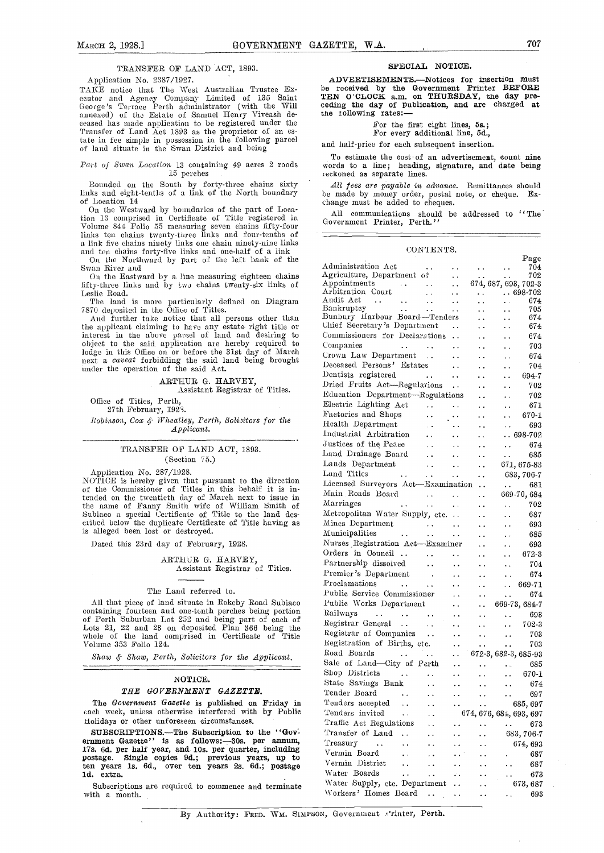### TRANSFER OP LAND ACT, 1893.

Application No. 2387/1927.

TAKE notice that The West Australian Trustee Executor and Agency Company Limited of 135 Saint George's Terrace Perth administrator (with the Will cediannexed) of the Estate of Samuel Henry Viveash de-<br>ceased has made application to be registered under the<br>Transfer of Land Act 1893 as the proprietor of an estate in fee simple in possession in the following parcel of land situate in the Swan District and being

15 perches

Bounded on the South by forty-three chains sixty links and eight-tenths of a link of the North boundary of Location 14

On the Westward by boundaries of the part of Loca-tion 13 comprised in Certificate of Title registered in Volume 844 Folio 55 measuring seven chains fifty-four links ten chains twenty-three links and four-tenths of a link five chains ninety links one chain ninety-nine links and ten chains forty-five links and one-half of a link On the Northward by part of the left bank of the Swa

On the Eastward by a line measuring eighteen chains fifty -three links and by two chains twenty-six links of Leslie Road.

The land is more particularly defined on Diagram Audit Act

7870 deposited in the Office of Titles.<br>And further take notice that all persons other than Bunbs the applicant claiming to have any estate right title or chief interest in the above parcel of land and desiring to commi object to the said application are hereby required to  $\hbox{Comps}$ lodge in this Office on or before the 31st day of March next a *caveat* forbidding the said land being brought under the operation of the said Act.

> ARTHUR G. HARVEY, Assistant Registrar of Titles.

Office of Titles, Perth, 27th February, 1928.

Robinson, Cox & Wheatley, Perth, Solisitors for the  $\Delta pp$ licant.

### TRANSFER OF LAND ACT, 1893. (Section 75.)

Application No. 287/1928. Land<br>NOTICE is hereby given that pursuant to the direction Licen<br>of the Commissioner of Titles in this behalf it is intended on the twentieth day of March next to issue in<br>the name of Fanny Smith wife of William Smith of Marri<br>Subiaco a special Certificate of Title to the land des-<br>Metro<br>cribed below the duplicate Certificate of Title hav cribed below the duplicate Certificate of Title having as is alleged been lost or destroyed.

Dated this 23rd day of February, 1928.

ARTHUR G. HARVEY, Assistant Registrar of Titles.

#### The Land referred to.

All that piece of land situate in Rokeby Road Subiaco containing fourteen and one-tenth perches being portion of Perth Suburban Lot 252 and being part of each of Lots 21, 22 and 23 on deposited Plan 366 being the whole of the land comprised in Certificate of Title Volume 353 Folio 124.

Shaw & Shaw, Perth, Solicitors for the Applicant.

### NOTICE.

### THE GOVERNMENT GAZETTE.

The Government Gazette is published on Friday in each week, unless otherwise interfered with by Public Holidays or other unforeseen circumstances.

SUBSCRIPTIONS.—The Subscription to the "Gov-<br>ernment Gazette" is as follows:—30s. per annum, 17s. 6d. per half year, and 10s. per quarter, including  $V_{\text{ermi}}$ postage. Single copies 9d.; previous years, up to verminden years 1s. 6d., over ten years 2s. 6d.; postage verminden ld. extra.

Subscriptions are required to commence and terminate with a month.

ADVERTISEMENTS.--Notices for insertion must be received by the Government Printer BEFORE TEN O'CLOCK a.m. on THURSDAY, the day pre- ceding the day of publication, and are charged at ceding the day of publication, and are charged at the following rates:-

## For the first eight lines, 5s.; For every additional line, 5d.,

and half-price for each subsequent insertion.

To estimate the cost of an advertisement, count nine<br>Part of Swan Location 13 containing 49 acres 2 roods words to a line; heading, signature, and date being<br>reckoned as separate lines. words to a line; heading, signature, and date being

> All fees are payable in advance. Remittances should be made by money order, postal note, or cheque. Exchange must be added to cheques.

> All communications should be addressed to "The Government Printer, Perth."

### CONTENTS.

|                               |                                                                                                                                                                                              | Page                                                                                                                                                                                                                                                                                                                                                                                                                                                                                                                                                                                                                                                                                                                                                                                                                                                                                                   |                                                                                                                                                                                                                                                                                                                                                                                                                                                                                                                                                                                                                                                                                                                                                                                                                                                                                                                                                                                                                                                                                                                                                                                                                                                                                                                                                                                                                                                                                                                                                         |
|-------------------------------|----------------------------------------------------------------------------------------------------------------------------------------------------------------------------------------------|--------------------------------------------------------------------------------------------------------------------------------------------------------------------------------------------------------------------------------------------------------------------------------------------------------------------------------------------------------------------------------------------------------------------------------------------------------------------------------------------------------------------------------------------------------------------------------------------------------------------------------------------------------------------------------------------------------------------------------------------------------------------------------------------------------------------------------------------------------------------------------------------------------|---------------------------------------------------------------------------------------------------------------------------------------------------------------------------------------------------------------------------------------------------------------------------------------------------------------------------------------------------------------------------------------------------------------------------------------------------------------------------------------------------------------------------------------------------------------------------------------------------------------------------------------------------------------------------------------------------------------------------------------------------------------------------------------------------------------------------------------------------------------------------------------------------------------------------------------------------------------------------------------------------------------------------------------------------------------------------------------------------------------------------------------------------------------------------------------------------------------------------------------------------------------------------------------------------------------------------------------------------------------------------------------------------------------------------------------------------------------------------------------------------------------------------------------------------------|
|                               |                                                                                                                                                                                              | 704<br>$\sim$ $\sim$                                                                                                                                                                                                                                                                                                                                                                                                                                                                                                                                                                                                                                                                                                                                                                                                                                                                                   |                                                                                                                                                                                                                                                                                                                                                                                                                                                                                                                                                                                                                                                                                                                                                                                                                                                                                                                                                                                                                                                                                                                                                                                                                                                                                                                                                                                                                                                                                                                                                         |
|                               |                                                                                                                                                                                              |                                                                                                                                                                                                                                                                                                                                                                                                                                                                                                                                                                                                                                                                                                                                                                                                                                                                                                        |                                                                                                                                                                                                                                                                                                                                                                                                                                                                                                                                                                                                                                                                                                                                                                                                                                                                                                                                                                                                                                                                                                                                                                                                                                                                                                                                                                                                                                                                                                                                                         |
|                               |                                                                                                                                                                                              |                                                                                                                                                                                                                                                                                                                                                                                                                                                                                                                                                                                                                                                                                                                                                                                                                                                                                                        |                                                                                                                                                                                                                                                                                                                                                                                                                                                                                                                                                                                                                                                                                                                                                                                                                                                                                                                                                                                                                                                                                                                                                                                                                                                                                                                                                                                                                                                                                                                                                         |
|                               |                                                                                                                                                                                              |                                                                                                                                                                                                                                                                                                                                                                                                                                                                                                                                                                                                                                                                                                                                                                                                                                                                                                        |                                                                                                                                                                                                                                                                                                                                                                                                                                                                                                                                                                                                                                                                                                                                                                                                                                                                                                                                                                                                                                                                                                                                                                                                                                                                                                                                                                                                                                                                                                                                                         |
|                               |                                                                                                                                                                                              | 705                                                                                                                                                                                                                                                                                                                                                                                                                                                                                                                                                                                                                                                                                                                                                                                                                                                                                                    |                                                                                                                                                                                                                                                                                                                                                                                                                                                                                                                                                                                                                                                                                                                                                                                                                                                                                                                                                                                                                                                                                                                                                                                                                                                                                                                                                                                                                                                                                                                                                         |
|                               |                                                                                                                                                                                              | 674                                                                                                                                                                                                                                                                                                                                                                                                                                                                                                                                                                                                                                                                                                                                                                                                                                                                                                    |                                                                                                                                                                                                                                                                                                                                                                                                                                                                                                                                                                                                                                                                                                                                                                                                                                                                                                                                                                                                                                                                                                                                                                                                                                                                                                                                                                                                                                                                                                                                                         |
|                               |                                                                                                                                                                                              | 674<br>$\sim 100$                                                                                                                                                                                                                                                                                                                                                                                                                                                                                                                                                                                                                                                                                                                                                                                                                                                                                      |                                                                                                                                                                                                                                                                                                                                                                                                                                                                                                                                                                                                                                                                                                                                                                                                                                                                                                                                                                                                                                                                                                                                                                                                                                                                                                                                                                                                                                                                                                                                                         |
|                               |                                                                                                                                                                                              | 674<br>$\ddot{\phantom{0}}$                                                                                                                                                                                                                                                                                                                                                                                                                                                                                                                                                                                                                                                                                                                                                                                                                                                                            |                                                                                                                                                                                                                                                                                                                                                                                                                                                                                                                                                                                                                                                                                                                                                                                                                                                                                                                                                                                                                                                                                                                                                                                                                                                                                                                                                                                                                                                                                                                                                         |
|                               | $\ddot{\phantom{a}}$                                                                                                                                                                         | 703<br>$\ddot{\phantom{0}}$                                                                                                                                                                                                                                                                                                                                                                                                                                                                                                                                                                                                                                                                                                                                                                                                                                                                            |                                                                                                                                                                                                                                                                                                                                                                                                                                                                                                                                                                                                                                                                                                                                                                                                                                                                                                                                                                                                                                                                                                                                                                                                                                                                                                                                                                                                                                                                                                                                                         |
|                               |                                                                                                                                                                                              | 674<br>$\sim$ .                                                                                                                                                                                                                                                                                                                                                                                                                                                                                                                                                                                                                                                                                                                                                                                                                                                                                        |                                                                                                                                                                                                                                                                                                                                                                                                                                                                                                                                                                                                                                                                                                                                                                                                                                                                                                                                                                                                                                                                                                                                                                                                                                                                                                                                                                                                                                                                                                                                                         |
|                               | $\sim$ $\sim$                                                                                                                                                                                | 704<br>$\ddot{\phantom{a}}$ .                                                                                                                                                                                                                                                                                                                                                                                                                                                                                                                                                                                                                                                                                                                                                                                                                                                                          |                                                                                                                                                                                                                                                                                                                                                                                                                                                                                                                                                                                                                                                                                                                                                                                                                                                                                                                                                                                                                                                                                                                                                                                                                                                                                                                                                                                                                                                                                                                                                         |
|                               |                                                                                                                                                                                              | 694-7<br>$\ddots$                                                                                                                                                                                                                                                                                                                                                                                                                                                                                                                                                                                                                                                                                                                                                                                                                                                                                      |                                                                                                                                                                                                                                                                                                                                                                                                                                                                                                                                                                                                                                                                                                                                                                                                                                                                                                                                                                                                                                                                                                                                                                                                                                                                                                                                                                                                                                                                                                                                                         |
|                               |                                                                                                                                                                                              | 702                                                                                                                                                                                                                                                                                                                                                                                                                                                                                                                                                                                                                                                                                                                                                                                                                                                                                                    |                                                                                                                                                                                                                                                                                                                                                                                                                                                                                                                                                                                                                                                                                                                                                                                                                                                                                                                                                                                                                                                                                                                                                                                                                                                                                                                                                                                                                                                                                                                                                         |
|                               |                                                                                                                                                                                              | 702                                                                                                                                                                                                                                                                                                                                                                                                                                                                                                                                                                                                                                                                                                                                                                                                                                                                                                    |                                                                                                                                                                                                                                                                                                                                                                                                                                                                                                                                                                                                                                                                                                                                                                                                                                                                                                                                                                                                                                                                                                                                                                                                                                                                                                                                                                                                                                                                                                                                                         |
|                               |                                                                                                                                                                                              |                                                                                                                                                                                                                                                                                                                                                                                                                                                                                                                                                                                                                                                                                                                                                                                                                                                                                                        |                                                                                                                                                                                                                                                                                                                                                                                                                                                                                                                                                                                                                                                                                                                                                                                                                                                                                                                                                                                                                                                                                                                                                                                                                                                                                                                                                                                                                                                                                                                                                         |
|                               |                                                                                                                                                                                              |                                                                                                                                                                                                                                                                                                                                                                                                                                                                                                                                                                                                                                                                                                                                                                                                                                                                                                        |                                                                                                                                                                                                                                                                                                                                                                                                                                                                                                                                                                                                                                                                                                                                                                                                                                                                                                                                                                                                                                                                                                                                                                                                                                                                                                                                                                                                                                                                                                                                                         |
|                               |                                                                                                                                                                                              |                                                                                                                                                                                                                                                                                                                                                                                                                                                                                                                                                                                                                                                                                                                                                                                                                                                                                                        |                                                                                                                                                                                                                                                                                                                                                                                                                                                                                                                                                                                                                                                                                                                                                                                                                                                                                                                                                                                                                                                                                                                                                                                                                                                                                                                                                                                                                                                                                                                                                         |
|                               |                                                                                                                                                                                              |                                                                                                                                                                                                                                                                                                                                                                                                                                                                                                                                                                                                                                                                                                                                                                                                                                                                                                        |                                                                                                                                                                                                                                                                                                                                                                                                                                                                                                                                                                                                                                                                                                                                                                                                                                                                                                                                                                                                                                                                                                                                                                                                                                                                                                                                                                                                                                                                                                                                                         |
|                               |                                                                                                                                                                                              |                                                                                                                                                                                                                                                                                                                                                                                                                                                                                                                                                                                                                                                                                                                                                                                                                                                                                                        |                                                                                                                                                                                                                                                                                                                                                                                                                                                                                                                                                                                                                                                                                                                                                                                                                                                                                                                                                                                                                                                                                                                                                                                                                                                                                                                                                                                                                                                                                                                                                         |
|                               |                                                                                                                                                                                              |                                                                                                                                                                                                                                                                                                                                                                                                                                                                                                                                                                                                                                                                                                                                                                                                                                                                                                        |                                                                                                                                                                                                                                                                                                                                                                                                                                                                                                                                                                                                                                                                                                                                                                                                                                                                                                                                                                                                                                                                                                                                                                                                                                                                                                                                                                                                                                                                                                                                                         |
|                               |                                                                                                                                                                                              |                                                                                                                                                                                                                                                                                                                                                                                                                                                                                                                                                                                                                                                                                                                                                                                                                                                                                                        |                                                                                                                                                                                                                                                                                                                                                                                                                                                                                                                                                                                                                                                                                                                                                                                                                                                                                                                                                                                                                                                                                                                                                                                                                                                                                                                                                                                                                                                                                                                                                         |
|                               |                                                                                                                                                                                              |                                                                                                                                                                                                                                                                                                                                                                                                                                                                                                                                                                                                                                                                                                                                                                                                                                                                                                        |                                                                                                                                                                                                                                                                                                                                                                                                                                                                                                                                                                                                                                                                                                                                                                                                                                                                                                                                                                                                                                                                                                                                                                                                                                                                                                                                                                                                                                                                                                                                                         |
|                               |                                                                                                                                                                                              |                                                                                                                                                                                                                                                                                                                                                                                                                                                                                                                                                                                                                                                                                                                                                                                                                                                                                                        |                                                                                                                                                                                                                                                                                                                                                                                                                                                                                                                                                                                                                                                                                                                                                                                                                                                                                                                                                                                                                                                                                                                                                                                                                                                                                                                                                                                                                                                                                                                                                         |
|                               |                                                                                                                                                                                              |                                                                                                                                                                                                                                                                                                                                                                                                                                                                                                                                                                                                                                                                                                                                                                                                                                                                                                        |                                                                                                                                                                                                                                                                                                                                                                                                                                                                                                                                                                                                                                                                                                                                                                                                                                                                                                                                                                                                                                                                                                                                                                                                                                                                                                                                                                                                                                                                                                                                                         |
|                               |                                                                                                                                                                                              |                                                                                                                                                                                                                                                                                                                                                                                                                                                                                                                                                                                                                                                                                                                                                                                                                                                                                                        |                                                                                                                                                                                                                                                                                                                                                                                                                                                                                                                                                                                                                                                                                                                                                                                                                                                                                                                                                                                                                                                                                                                                                                                                                                                                                                                                                                                                                                                                                                                                                         |
|                               |                                                                                                                                                                                              |                                                                                                                                                                                                                                                                                                                                                                                                                                                                                                                                                                                                                                                                                                                                                                                                                                                                                                        |                                                                                                                                                                                                                                                                                                                                                                                                                                                                                                                                                                                                                                                                                                                                                                                                                                                                                                                                                                                                                                                                                                                                                                                                                                                                                                                                                                                                                                                                                                                                                         |
|                               |                                                                                                                                                                                              |                                                                                                                                                                                                                                                                                                                                                                                                                                                                                                                                                                                                                                                                                                                                                                                                                                                                                                        |                                                                                                                                                                                                                                                                                                                                                                                                                                                                                                                                                                                                                                                                                                                                                                                                                                                                                                                                                                                                                                                                                                                                                                                                                                                                                                                                                                                                                                                                                                                                                         |
|                               |                                                                                                                                                                                              |                                                                                                                                                                                                                                                                                                                                                                                                                                                                                                                                                                                                                                                                                                                                                                                                                                                                                                        |                                                                                                                                                                                                                                                                                                                                                                                                                                                                                                                                                                                                                                                                                                                                                                                                                                                                                                                                                                                                                                                                                                                                                                                                                                                                                                                                                                                                                                                                                                                                                         |
|                               |                                                                                                                                                                                              |                                                                                                                                                                                                                                                                                                                                                                                                                                                                                                                                                                                                                                                                                                                                                                                                                                                                                                        |                                                                                                                                                                                                                                                                                                                                                                                                                                                                                                                                                                                                                                                                                                                                                                                                                                                                                                                                                                                                                                                                                                                                                                                                                                                                                                                                                                                                                                                                                                                                                         |
|                               |                                                                                                                                                                                              | $\ddotsc$                                                                                                                                                                                                                                                                                                                                                                                                                                                                                                                                                                                                                                                                                                                                                                                                                                                                                              |                                                                                                                                                                                                                                                                                                                                                                                                                                                                                                                                                                                                                                                                                                                                                                                                                                                                                                                                                                                                                                                                                                                                                                                                                                                                                                                                                                                                                                                                                                                                                         |
|                               | $\ddotsc$                                                                                                                                                                                    | 672-3<br>$\ddotsc$                                                                                                                                                                                                                                                                                                                                                                                                                                                                                                                                                                                                                                                                                                                                                                                                                                                                                     |                                                                                                                                                                                                                                                                                                                                                                                                                                                                                                                                                                                                                                                                                                                                                                                                                                                                                                                                                                                                                                                                                                                                                                                                                                                                                                                                                                                                                                                                                                                                                         |
|                               | $\ddot{\phantom{0}}$                                                                                                                                                                         | -704<br>$\rightarrow$ $\rightarrow$                                                                                                                                                                                                                                                                                                                                                                                                                                                                                                                                                                                                                                                                                                                                                                                                                                                                    |                                                                                                                                                                                                                                                                                                                                                                                                                                                                                                                                                                                                                                                                                                                                                                                                                                                                                                                                                                                                                                                                                                                                                                                                                                                                                                                                                                                                                                                                                                                                                         |
|                               | $\ddotsc$                                                                                                                                                                                    | 674<br>$\ddot{\phantom{a}}$ .                                                                                                                                                                                                                                                                                                                                                                                                                                                                                                                                                                                                                                                                                                                                                                                                                                                                          |                                                                                                                                                                                                                                                                                                                                                                                                                                                                                                                                                                                                                                                                                                                                                                                                                                                                                                                                                                                                                                                                                                                                                                                                                                                                                                                                                                                                                                                                                                                                                         |
|                               | $\ddot{\phantom{0}}$                                                                                                                                                                         | 669-71<br>$\sim 10^{-1}$                                                                                                                                                                                                                                                                                                                                                                                                                                                                                                                                                                                                                                                                                                                                                                                                                                                                               |                                                                                                                                                                                                                                                                                                                                                                                                                                                                                                                                                                                                                                                                                                                                                                                                                                                                                                                                                                                                                                                                                                                                                                                                                                                                                                                                                                                                                                                                                                                                                         |
|                               | $\ddot{\phantom{0}}$                                                                                                                                                                         | 674<br>$\cdots$                                                                                                                                                                                                                                                                                                                                                                                                                                                                                                                                                                                                                                                                                                                                                                                                                                                                                        |                                                                                                                                                                                                                                                                                                                                                                                                                                                                                                                                                                                                                                                                                                                                                                                                                                                                                                                                                                                                                                                                                                                                                                                                                                                                                                                                                                                                                                                                                                                                                         |
|                               |                                                                                                                                                                                              | 669-73, 684-7                                                                                                                                                                                                                                                                                                                                                                                                                                                                                                                                                                                                                                                                                                                                                                                                                                                                                          |                                                                                                                                                                                                                                                                                                                                                                                                                                                                                                                                                                                                                                                                                                                                                                                                                                                                                                                                                                                                                                                                                                                                                                                                                                                                                                                                                                                                                                                                                                                                                         |
|                               |                                                                                                                                                                                              | - 693<br>$\sim 10^{-11}$                                                                                                                                                                                                                                                                                                                                                                                                                                                                                                                                                                                                                                                                                                                                                                                                                                                                               |                                                                                                                                                                                                                                                                                                                                                                                                                                                                                                                                                                                                                                                                                                                                                                                                                                                                                                                                                                                                                                                                                                                                                                                                                                                                                                                                                                                                                                                                                                                                                         |
|                               |                                                                                                                                                                                              | $\ldots$ 702-3                                                                                                                                                                                                                                                                                                                                                                                                                                                                                                                                                                                                                                                                                                                                                                                                                                                                                         |                                                                                                                                                                                                                                                                                                                                                                                                                                                                                                                                                                                                                                                                                                                                                                                                                                                                                                                                                                                                                                                                                                                                                                                                                                                                                                                                                                                                                                                                                                                                                         |
|                               |                                                                                                                                                                                              |                                                                                                                                                                                                                                                                                                                                                                                                                                                                                                                                                                                                                                                                                                                                                                                                                                                                                                        |                                                                                                                                                                                                                                                                                                                                                                                                                                                                                                                                                                                                                                                                                                                                                                                                                                                                                                                                                                                                                                                                                                                                                                                                                                                                                                                                                                                                                                                                                                                                                         |
| $\ddotsc$                     |                                                                                                                                                                                              |                                                                                                                                                                                                                                                                                                                                                                                                                                                                                                                                                                                                                                                                                                                                                                                                                                                                                                        |                                                                                                                                                                                                                                                                                                                                                                                                                                                                                                                                                                                                                                                                                                                                                                                                                                                                                                                                                                                                                                                                                                                                                                                                                                                                                                                                                                                                                                                                                                                                                         |
|                               |                                                                                                                                                                                              |                                                                                                                                                                                                                                                                                                                                                                                                                                                                                                                                                                                                                                                                                                                                                                                                                                                                                                        |                                                                                                                                                                                                                                                                                                                                                                                                                                                                                                                                                                                                                                                                                                                                                                                                                                                                                                                                                                                                                                                                                                                                                                                                                                                                                                                                                                                                                                                                                                                                                         |
|                               |                                                                                                                                                                                              |                                                                                                                                                                                                                                                                                                                                                                                                                                                                                                                                                                                                                                                                                                                                                                                                                                                                                                        |                                                                                                                                                                                                                                                                                                                                                                                                                                                                                                                                                                                                                                                                                                                                                                                                                                                                                                                                                                                                                                                                                                                                                                                                                                                                                                                                                                                                                                                                                                                                                         |
|                               |                                                                                                                                                                                              |                                                                                                                                                                                                                                                                                                                                                                                                                                                                                                                                                                                                                                                                                                                                                                                                                                                                                                        |                                                                                                                                                                                                                                                                                                                                                                                                                                                                                                                                                                                                                                                                                                                                                                                                                                                                                                                                                                                                                                                                                                                                                                                                                                                                                                                                                                                                                                                                                                                                                         |
|                               |                                                                                                                                                                                              |                                                                                                                                                                                                                                                                                                                                                                                                                                                                                                                                                                                                                                                                                                                                                                                                                                                                                                        |                                                                                                                                                                                                                                                                                                                                                                                                                                                                                                                                                                                                                                                                                                                                                                                                                                                                                                                                                                                                                                                                                                                                                                                                                                                                                                                                                                                                                                                                                                                                                         |
|                               |                                                                                                                                                                                              |                                                                                                                                                                                                                                                                                                                                                                                                                                                                                                                                                                                                                                                                                                                                                                                                                                                                                                        |                                                                                                                                                                                                                                                                                                                                                                                                                                                                                                                                                                                                                                                                                                                                                                                                                                                                                                                                                                                                                                                                                                                                                                                                                                                                                                                                                                                                                                                                                                                                                         |
|                               |                                                                                                                                                                                              |                                                                                                                                                                                                                                                                                                                                                                                                                                                                                                                                                                                                                                                                                                                                                                                                                                                                                                        |                                                                                                                                                                                                                                                                                                                                                                                                                                                                                                                                                                                                                                                                                                                                                                                                                                                                                                                                                                                                                                                                                                                                                                                                                                                                                                                                                                                                                                                                                                                                                         |
|                               |                                                                                                                                                                                              |                                                                                                                                                                                                                                                                                                                                                                                                                                                                                                                                                                                                                                                                                                                                                                                                                                                                                                        |                                                                                                                                                                                                                                                                                                                                                                                                                                                                                                                                                                                                                                                                                                                                                                                                                                                                                                                                                                                                                                                                                                                                                                                                                                                                                                                                                                                                                                                                                                                                                         |
|                               |                                                                                                                                                                                              |                                                                                                                                                                                                                                                                                                                                                                                                                                                                                                                                                                                                                                                                                                                                                                                                                                                                                                        |                                                                                                                                                                                                                                                                                                                                                                                                                                                                                                                                                                                                                                                                                                                                                                                                                                                                                                                                                                                                                                                                                                                                                                                                                                                                                                                                                                                                                                                                                                                                                         |
|                               |                                                                                                                                                                                              | . .                                                                                                                                                                                                                                                                                                                                                                                                                                                                                                                                                                                                                                                                                                                                                                                                                                                                                                    |                                                                                                                                                                                                                                                                                                                                                                                                                                                                                                                                                                                                                                                                                                                                                                                                                                                                                                                                                                                                                                                                                                                                                                                                                                                                                                                                                                                                                                                                                                                                                         |
|                               |                                                                                                                                                                                              |                                                                                                                                                                                                                                                                                                                                                                                                                                                                                                                                                                                                                                                                                                                                                                                                                                                                                                        |                                                                                                                                                                                                                                                                                                                                                                                                                                                                                                                                                                                                                                                                                                                                                                                                                                                                                                                                                                                                                                                                                                                                                                                                                                                                                                                                                                                                                                                                                                                                                         |
|                               |                                                                                                                                                                                              | 674, 693                                                                                                                                                                                                                                                                                                                                                                                                                                                                                                                                                                                                                                                                                                                                                                                                                                                                                               |                                                                                                                                                                                                                                                                                                                                                                                                                                                                                                                                                                                                                                                                                                                                                                                                                                                                                                                                                                                                                                                                                                                                                                                                                                                                                                                                                                                                                                                                                                                                                         |
|                               |                                                                                                                                                                                              | 687                                                                                                                                                                                                                                                                                                                                                                                                                                                                                                                                                                                                                                                                                                                                                                                                                                                                                                    |                                                                                                                                                                                                                                                                                                                                                                                                                                                                                                                                                                                                                                                                                                                                                                                                                                                                                                                                                                                                                                                                                                                                                                                                                                                                                                                                                                                                                                                                                                                                                         |
|                               |                                                                                                                                                                                              | 687                                                                                                                                                                                                                                                                                                                                                                                                                                                                                                                                                                                                                                                                                                                                                                                                                                                                                                    |                                                                                                                                                                                                                                                                                                                                                                                                                                                                                                                                                                                                                                                                                                                                                                                                                                                                                                                                                                                                                                                                                                                                                                                                                                                                                                                                                                                                                                                                                                                                                         |
| έ.                            |                                                                                                                                                                                              | 673                                                                                                                                                                                                                                                                                                                                                                                                                                                                                                                                                                                                                                                                                                                                                                                                                                                                                                    |                                                                                                                                                                                                                                                                                                                                                                                                                                                                                                                                                                                                                                                                                                                                                                                                                                                                                                                                                                                                                                                                                                                                                                                                                                                                                                                                                                                                                                                                                                                                                         |
| . .                           |                                                                                                                                                                                              |                                                                                                                                                                                                                                                                                                                                                                                                                                                                                                                                                                                                                                                                                                                                                                                                                                                                                                        |                                                                                                                                                                                                                                                                                                                                                                                                                                                                                                                                                                                                                                                                                                                                                                                                                                                                                                                                                                                                                                                                                                                                                                                                                                                                                                                                                                                                                                                                                                                                                         |
| $\ddot{\phantom{1}}$          |                                                                                                                                                                                              | 693                                                                                                                                                                                                                                                                                                                                                                                                                                                                                                                                                                                                                                                                                                                                                                                                                                                                                                    |                                                                                                                                                                                                                                                                                                                                                                                                                                                                                                                                                                                                                                                                                                                                                                                                                                                                                                                                                                                                                                                                                                                                                                                                                                                                                                                                                                                                                                                                                                                                                         |
| Railways<br>Registrar General | Commissioners for Declarations<br>$\frac{1}{2}$<br>Justices of the Peace<br>$\ddot{\phantom{a}}$<br>Registration of Births, etc.<br>Tender Board<br>Tenders accepted<br>$\ddot{\phantom{0}}$ | $\begin{bmatrix} 1 & 1 \\ 1 & 1 \\ 1 & 1 \end{bmatrix}$<br>Chief Secretary's Department<br>$\sim$ $\sim$<br>$\ddotsc$<br>$\sim$ $\sim$<br>$\sim 100$<br>$\sim 10^{-1}$<br>$\sim$ $\sim$<br>Dried Fruits Act-Regularions<br>$\sim$ $\sim$<br>Electric Lighting Act<br>$\mathbb{R}$<br>$\sim 10^{-1}$<br>$\sim 10^{-11}$<br>$\ddotsc$<br>$\mathcal{L}^{\mathcal{L}}$ and $\mathcal{L}^{\mathcal{L}}$ and $\mathcal{L}^{\mathcal{L}}$ and $\mathcal{L}^{\mathcal{L}}$ and $\mathcal{L}^{\mathcal{L}}$<br>$\ddot{\phantom{0}}$<br>Metropolitan Water Supply, etc<br>Mines Department<br>Municipalities<br>Nurses Registration Act-Examiner<br>Orders in Council<br>$\sim 10^{-1}$<br>Premier's Department<br>Proclamations<br>$\sim 100$<br>$\sim 10^{-1}$<br>$\sim 10^{-1}$<br>$\ddotsc$<br>$\sim 10^{-1}$<br>Sale of Land-City of Perth<br>$\sim$ $\sim$<br>$\sim 10^{-1}$<br>$\mathbf{G}(\mathbf{r})$ . | $\epsilon_{\rm{max}}$<br>$\mathbf{L}$<br>702<br>674, 687, 693, 702-3<br>$\begin{array}{ccccccccc}\n\cdot & \cdot & \cdot & \cdot & \cdot & 698-702 \\ \cdot & \cdot & \cdot & \cdot & \cdot & 674\n\end{array}$<br>Audit Act<br>Bankruptcy<br>Bunbury Harbour Board—Tenders<br>$\cdots$<br>$\sim 100$<br>$\sim 10^{-1}$<br>$\ddotsc$<br>$\ddot{\phantom{0}}$<br>${\bf Education\ \ Department}\hspace{-0.5cm}-\hspace{-0.5cm} {\bf Regulations}\hspace{0.5cm}\ldots$<br>$\sim$ $\sim$<br>671<br>$\sim 10^{-1}$<br>$\cdots$<br>$\sim 100$<br>670-1<br><b>Contract Contract</b><br>$\sim$ $\sim$<br>693<br>$\sim 10^{11}$<br>$.698-702$<br>$\ddotsc$<br>674<br>$\bullet$ $\bullet$ $\bullet$<br>$\sim 10^{-10}$<br>685<br>$\ddotsc$<br>671, 675-83<br>$\ddotsc$<br>Land Titles<br>Licensed Surveyors Act—Examination<br>683, 706-7<br>681<br>$\mathbf{r}$ , $\mathbf{r}$ , $\mathbf{r}$ , $\mathbf{r}$<br>Main Roads Board<br>669-70, 684<br>702<br>$\sim 10^{-1}$<br>687<br>$\ddotsc$<br>$\ddot{\phantom{0}}$<br>693<br>$\sim 100$ km s $^{-1}$ and $\sim 100$<br>685<br>$\ddotsc$<br>$\sim$ $\sim$<br>693<br>$\sim 10^{-1}$<br>$\ddotsc$<br>$\sim 10^{-1}$<br>$\sim 10^{-11}$<br>$\ldots$ 703<br>$\sim 10^{-11}$<br>$\cdots$ $\cdots$ 703<br>$\ldots$ 672-3, 682-3, 685-93<br>685<br>$\bullet$ $\bullet$ $\circ$ $\bullet$ $\bullet$ $\bullet$ $\bullet$ $\bullet$<br>670-1<br>$\ddot{\phantom{0}}$<br>$\cdots$<br>674<br>$\sim$ $\sim$<br>$\ddots$<br>$\cdots$ 697<br>$\ddotsc$<br>685, 697<br>674, 676, 684, 693, 697<br>673<br>683,706-7<br>673, 687 |

By Authority: FRED. WM. SIMPSON, Government Printer, Perth.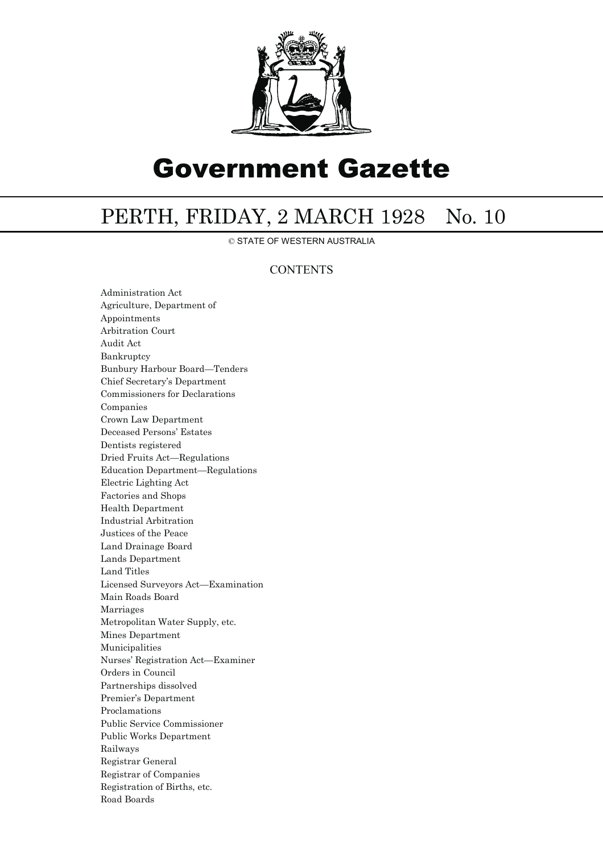

# Government Gazette

## PERTH, FRIDAY, 2 MARCH 1928 No. 10

© STATE OF WESTERN AUSTRALIA

### **CONTENTS**

Administration Act Agriculture, Department of Appointments Arbitration Court Audit Act Bankruptcy Bunbury Harbour Board—Tenders Chief Secretary's Department Commissioners for Declarations Companies Crown Law Department Deceased Persons' Estates Dentists registered Dried Fruits Act—Regulations Education Department—Regulations Electric Lighting Act Factories and Shops Health Department Industrial Arbitration Justices of the Peace Land Drainage Board Lands Department Land Titles Licensed Surveyors Act—Examination Main Roads Board Marriages Metropolitan Water Supply, etc. Mines Department Municipalities Nurses' Registration Act—Examiner Orders in Council Partnerships dissolved Premier's Department Proclamations Public Service Commissioner Public Works Department Railways Registrar General Registrar of Companies Registration of Births, etc. Road Boards